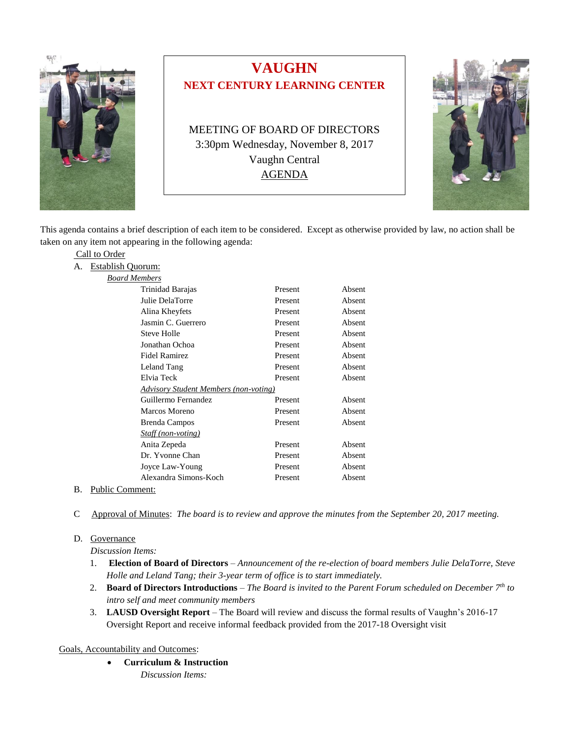

Call to Order

## **VAUGHN NEXT CENTURY LEARNING CENTER**

MEETING OF BOARD OF DIRECTORS 3:30pm Wednesday, November 8, 2017 Vaughn Central AGENDA



This agenda contains a brief description of each item to be considered. Except as otherwise provided by law, no action shall be taken on any item not appearing in the following agenda:

| А. | Establish Quorum:    |                                              |         |        |
|----|----------------------|----------------------------------------------|---------|--------|
|    | <b>Board Members</b> |                                              |         |        |
|    |                      | Trinidad Barajas                             | Present | Absent |
|    |                      | Julie DelaTorre                              | Present | Absent |
|    |                      | Alina Kheyfets                               | Present | Absent |
|    |                      | Jasmin C. Guerrero                           | Present | Absent |
|    |                      | Steve Holle                                  | Present | Absent |
|    |                      | Jonathan Ochoa                               | Present | Absent |
|    |                      | <b>Fidel Ramirez</b>                         | Present | Absent |
|    |                      | Leland Tang                                  | Present | Absent |
|    |                      | Elvia Teck                                   | Present | Absent |
|    |                      | <b>Advisory Student Members (non-voting)</b> |         |        |
|    |                      | Guillermo Fernandez                          | Present | Absent |
|    |                      | Marcos Moreno                                | Present | Absent |
|    |                      | <b>Brenda Campos</b>                         | Present | Absent |
|    |                      | <i>Staff (non-voting)</i>                    |         |        |
|    |                      | Anita Zepeda                                 | Present | Absent |
|    |                      | Dr. Yvonne Chan                              | Present | Absent |
|    |                      | Joyce Law-Young                              | Present | Absent |
|    |                      | Alexandra Simons-Koch                        | Present | Absent |
|    | $\sim$ $\sim$ $\sim$ |                                              |         |        |

- B. Public Comment:
- C Approval of Minutes: *The board is to review and approve the minutes from the September 20, 2017 meeting.*

## D. Governance

*Discussion Items:*

- 1. **Election of Board of Directors** *Announcement of the re-election of board members Julie DelaTorre, Steve Holle and Leland Tang; their 3-year term of office is to start immediately.*
- 2. **Board of Directors Introductions** *The Board is invited to the Parent Forum scheduled on December 7th to intro self and meet community members*
- 3. **LAUSD Oversight Report** The Board will review and discuss the formal results of Vaughn's 2016-17 Oversight Report and receive informal feedback provided from the 2017-18 Oversight visit

## Goals, Accountability and Outcomes:

- **Curriculum & Instruction**
	- *Discussion Items:*